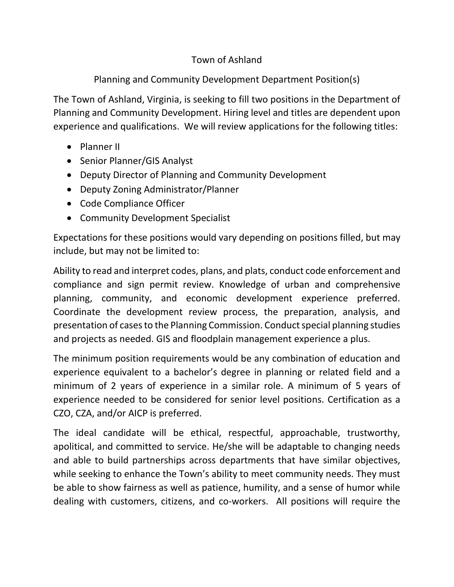## Town of Ashland

## Planning and Community Development Department Position(s)

The Town of Ashland, Virginia, is seeking to fill two positions in the Department of Planning and Community Development. Hiring level and titles are dependent upon experience and qualifications. We will review applications for the following titles:

- Planner II
- Senior Planner/GIS Analyst
- Deputy Director of Planning and Community Development
- Deputy Zoning Administrator/Planner
- Code Compliance Officer
- Community Development Specialist

Expectations for these positions would vary depending on positions filled, but may include, but may not be limited to:

Ability to read and interpret codes, plans, and plats, conduct code enforcement and compliance and sign permit review. Knowledge of urban and comprehensive planning, community, and economic development experience preferred. Coordinate the development review process, the preparation, analysis, and presentation of cases to the Planning Commission. Conduct special planning studies and projects as needed. GIS and floodplain management experience a plus.

The minimum position requirements would be any combination of education and experience equivalent to a bachelor's degree in planning or related field and a minimum of 2 years of experience in a similar role. A minimum of 5 years of experience needed to be considered for senior level positions. Certification as a CZO, CZA, and/or AICP is preferred.

The ideal candidate will be ethical, respectful, approachable, trustworthy, apolitical, and committed to service. He/she will be adaptable to changing needs and able to build partnerships across departments that have similar objectives, while seeking to enhance the Town's ability to meet community needs. They must be able to show fairness as well as patience, humility, and a sense of humor while dealing with customers, citizens, and co-workers. All positions will require the